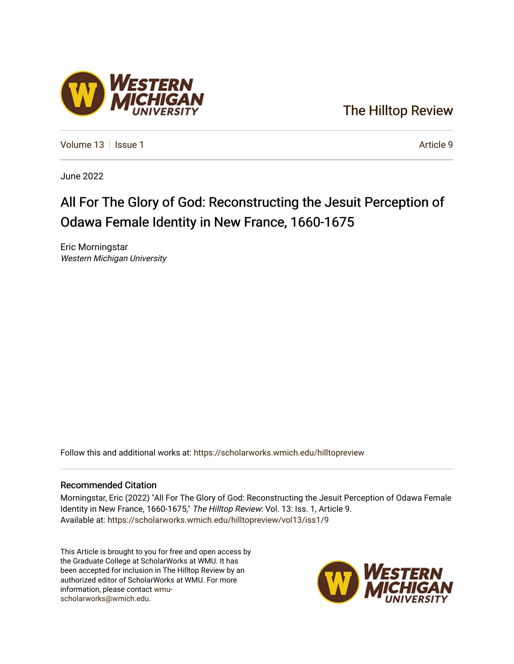### [The Hilltop Review](https://scholarworks.wmich.edu/hilltopreview)

[Volume 13](https://scholarworks.wmich.edu/hilltopreview/vol13) | [Issue 1](https://scholarworks.wmich.edu/hilltopreview/vol13/iss1) Article 9

June 2022

## All For The Glory of God: Reconstructing the Jesuit Perception of Odawa Female Identity in New France, 1660-1675

Eric Morningstar Western Michigan University

Follow this and additional works at: [https://scholarworks.wmich.edu/hilltopreview](https://scholarworks.wmich.edu/hilltopreview?utm_source=scholarworks.wmich.edu%2Fhilltopreview%2Fvol13%2Fiss1%2F9&utm_medium=PDF&utm_campaign=PDFCoverPages)

#### Recommended Citation

Morningstar, Eric (2022) "All For The Glory of God: Reconstructing the Jesuit Perception of Odawa Female Identity in New France, 1660-1675," The Hilltop Review: Vol. 13: Iss. 1, Article 9. Available at: [https://scholarworks.wmich.edu/hilltopreview/vol13/iss1/9](https://scholarworks.wmich.edu/hilltopreview/vol13/iss1/9?utm_source=scholarworks.wmich.edu%2Fhilltopreview%2Fvol13%2Fiss1%2F9&utm_medium=PDF&utm_campaign=PDFCoverPages) 

This Article is brought to you for free and open access by the Graduate College at ScholarWorks at WMU. It has been accepted for inclusion in The Hilltop Review by an authorized editor of ScholarWorks at WMU. For more information, please contact [wmu](mailto:wmu-scholarworks@wmich.edu)[scholarworks@wmich.edu.](mailto:wmu-scholarworks@wmich.edu)



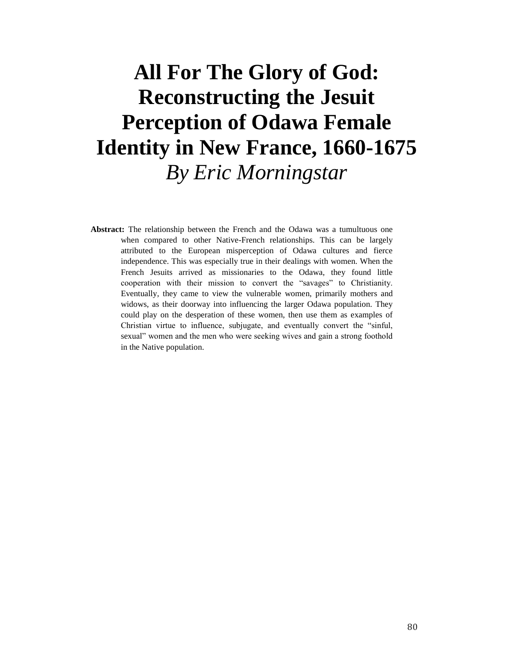# **All For The Glory of God: Reconstructing the Jesuit Perception of Odawa Female Identity in New France, 1660-1675** *By Eric Morningstar*

**Abstract:** The relationship between the French and the Odawa was a tumultuous one when compared to other Native-French relationships. This can be largely attributed to the European misperception of Odawa cultures and fierce independence. This was especially true in their dealings with women. When the French Jesuits arrived as missionaries to the Odawa, they found little cooperation with their mission to convert the "savages" to Christianity. Eventually, they came to view the vulnerable women, primarily mothers and widows, as their doorway into influencing the larger Odawa population. They could play on the desperation of these women, then use them as examples of Christian virtue to influence, subjugate, and eventually convert the "sinful, sexual" women and the men who were seeking wives and gain a strong foothold in the Native population.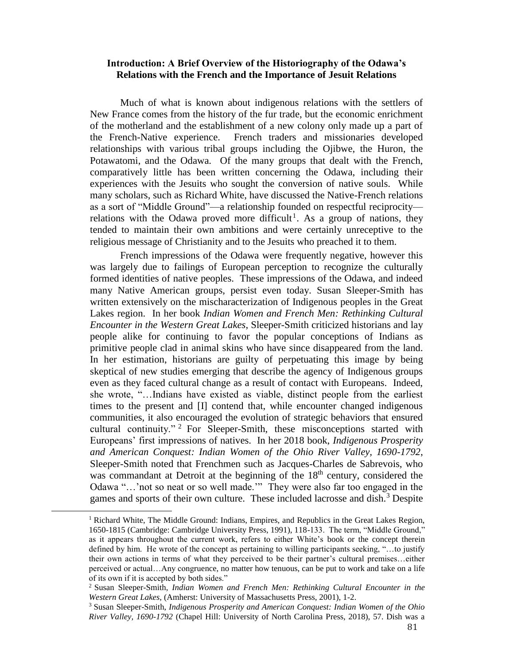#### **Introduction: A Brief Overview of the Historiography of the Odawa's Relations with the French and the Importance of Jesuit Relations**

Much of what is known about indigenous relations with the settlers of New France comes from the history of the fur trade, but the economic enrichment of the motherland and the establishment of a new colony only made up a part of the French-Native experience. French traders and missionaries developed relationships with various tribal groups including the Ojibwe, the Huron, the Potawatomi, and the Odawa. Of the many groups that dealt with the French, comparatively little has been written concerning the Odawa, including their experiences with the Jesuits who sought the conversion of native souls. While many scholars, such as Richard White, have discussed the Native-French relations as a sort of "Middle Ground"—a relationship founded on respectful reciprocity relations with the Odawa proved more difficult<sup>1</sup>. As a group of nations, they tended to maintain their own ambitions and were certainly unreceptive to the religious message of Christianity and to the Jesuits who preached it to them.

French impressions of the Odawa were frequently negative, however this was largely due to failings of European perception to recognize the culturally formed identities of native peoples. These impressions of the Odawa, and indeed many Native American groups, persist even today. Susan Sleeper-Smith has written extensively on the mischaracterization of Indigenous peoples in the Great Lakes region. In her book *Indian Women and French Men: Rethinking Cultural Encounter in the Western Great Lakes*, Sleeper-Smith criticized historians and lay people alike for continuing to favor the popular conceptions of Indians as primitive people clad in animal skins who have since disappeared from the land. In her estimation, historians are guilty of perpetuating this image by being skeptical of new studies emerging that describe the agency of Indigenous groups even as they faced cultural change as a result of contact with Europeans. Indeed, she wrote, "…Indians have existed as viable, distinct people from the earliest times to the present and [I] contend that, while encounter changed indigenous communities, it also encouraged the evolution of strategic behaviors that ensured cultural continuity." <sup>2</sup> For Sleeper-Smith, these misconceptions started with Europeans' first impressions of natives. In her 2018 book, *Indigenous Prosperity and American Conquest: Indian Women of the Ohio River Valley, 1690-1792*, Sleeper-Smith noted that Frenchmen such as Jacques-Charles de Sabrevois, who was commandant at Detroit at the beginning of the 18<sup>th</sup> century, considered the Odawa "…'not so neat or so well made.'" They were also far too engaged in the games and sports of their own culture. These included lacrosse and dish.<sup>3</sup> Despite

<sup>&</sup>lt;sup>1</sup> Richard White, The Middle Ground: Indians, Empires, and Republics in the Great Lakes Region, 1650-1815 (Cambridge: Cambridge University Press, 1991), 118-133. The term, "Middle Ground," as it appears throughout the current work, refers to either White's book or the concept therein defined by him. He wrote of the concept as pertaining to willing participants seeking, "…to justify their own actions in terms of what they perceived to be their partner's cultural premises…either perceived or actual…Any congruence, no matter how tenuous, can be put to work and take on a life of its own if it is accepted by both sides."

<sup>2</sup> Susan Sleeper-Smith, *Indian Women and French Men: Rethinking Cultural Encounter in the Western Great Lakes,* (Amherst: University of Massachusetts Press, 2001), 1-2.

<sup>3</sup> Susan Sleeper-Smith, *Indigenous Prosperity and American Conquest: Indian Women of the Ohio River Valley, 1690-1792* (Chapel Hill: University of North Carolina Press, 2018), 57. Dish was a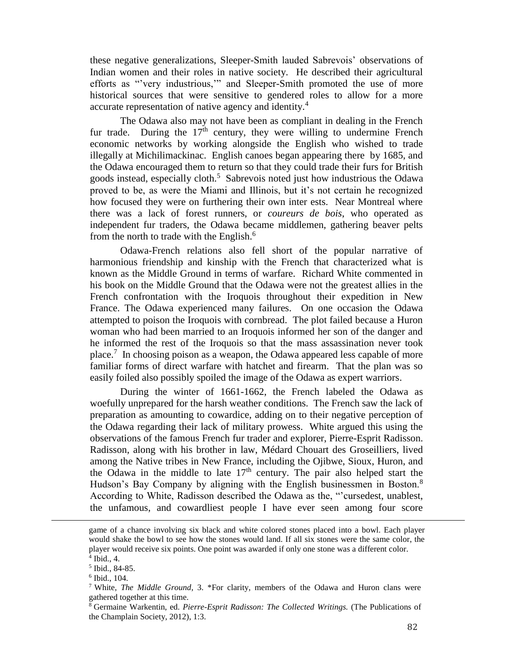these negative generalizations, Sleeper-Smith lauded Sabrevois' observations of Indian women and their roles in native society. He described their agricultural efforts as "'very industrious,'" and Sleeper-Smith promoted the use of more historical sources that were sensitive to gendered roles to allow for a more accurate representation of native agency and identity.<sup>4</sup>

The Odawa also may not have been as compliant in dealing in the French fur trade. During the  $17<sup>th</sup>$  century, they were willing to undermine French economic networks by working alongside the English who wished to trade illegally at Michilimackinac. English canoes began appearing there by 1685, and the Odawa encouraged them to return so that they could trade their furs for British goods instead, especially cloth.<sup>5</sup> Sabrevois noted just how industrious the Odawa proved to be, as were the Miami and Illinois, but it's not certain he recognized how focused they were on furthering their own inter ests. Near Montreal where there was a lack of forest runners, or *coureurs de bois*, who operated as independent fur traders, the Odawa became middlemen, gathering beaver pelts from the north to trade with the English.<sup>6</sup>

Odawa-French relations also fell short of the popular narrative of harmonious friendship and kinship with the French that characterized what is known as the Middle Ground in terms of warfare. Richard White commented in his book on the Middle Ground that the Odawa were not the greatest allies in the French confrontation with the Iroquois throughout their expedition in New France. The Odawa experienced many failures. On one occasion the Odawa attempted to poison the Iroquois with cornbread. The plot failed because a Huron woman who had been married to an Iroquois informed her son of the danger and he informed the rest of the Iroquois so that the mass assassination never took place.<sup>7</sup> In choosing poison as a weapon, the Odawa appeared less capable of more familiar forms of direct warfare with hatchet and firearm. That the plan was so easily foiled also possibly spoiled the image of the Odawa as expert warriors.

During the winter of 1661-1662, the French labeled the Odawa as woefully unprepared for the harsh weather conditions. The French saw the lack of preparation as amounting to cowardice, adding on to their negative perception of the Odawa regarding their lack of military prowess. White argued this using the observations of the famous French fur trader and explorer, Pierre-Esprit Radisson. Radisson, along with his brother in law, Médard Chouart des Groseilliers, lived among the Native tribes in New France, including the Ojibwe, Sioux, Huron, and the Odawa in the middle to late  $17<sup>th</sup>$  century. The pair also helped start the Hudson's Bay Company by aligning with the English businessmen in Boston.<sup>8</sup> According to White, Radisson described the Odawa as the, "'cursedest, unablest, the unfamous, and cowardliest people I have ever seen among four score

game of a chance involving six black and white colored stones placed into a bowl. Each player would shake the bowl to see how the stones would land. If all six stones were the same color, the player would receive six points. One point was awarded if only one stone was a different color.

<sup>4</sup> Ibid., 4.

<sup>5</sup> Ibid., 84-85.

<sup>6</sup> Ibid., 104.

<sup>7</sup> White, *The Middle Ground*, 3. \*For clarity, members of the Odawa and Huron clans were gathered together at this time.

<sup>8</sup> Germaine Warkentin, ed. *Pierre-Esprit Radisson: The Collected Writings.* (The Publications of the Champlain Society, 2012), 1:3.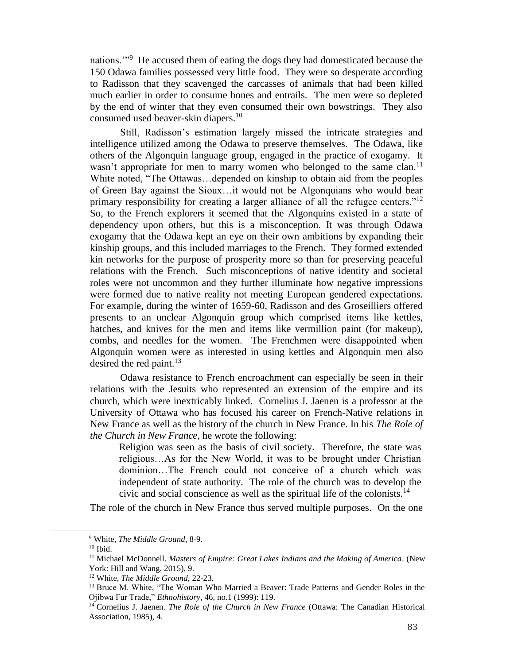nations."<sup>9</sup> He accused them of eating the dogs they had domesticated because the 150 Odawa families possessed very little food. They were so desperate according to Radisson that they scavenged the carcasses of animals that had been killed much earlier in order to consume bones and entrails. The men were so depleted by the end of winter that they even consumed their own bowstrings. They also consumed used beaver-skin diapers.<sup>10</sup>

Still, Radisson's estimation largely missed the intricate strategies and intelligence utilized among the Odawa to preserve themselves. The Odawa, like others of the Algonquin language group, engaged in the practice of exogamy. It wasn't appropriate for men to marry women who belonged to the same clan.<sup>11</sup> White noted, "The Ottawas…depended on kinship to obtain aid from the peoples of Green Bay against the Sioux…it would not be Algonquians who would bear primary responsibility for creating a larger alliance of all the refugee centers."<sup>12</sup> So, to the French explorers it seemed that the Algonquins existed in a state of dependency upon others, but this is a misconception. It was through Odawa exogamy that the Odawa kept an eye on their own ambitions by expanding their kinship groups, and this included marriages to the French. They formed extended kin networks for the purpose of prosperity more so than for preserving peaceful relations with the French. Such misconceptions of native identity and societal roles were not uncommon and they further illuminate how negative impressions were formed due to native reality not meeting European gendered expectations. For example, during the winter of 1659-60, Radisson and des Groseilliers offered presents to an unclear Algonquin group which comprised items like kettles, hatches, and knives for the men and items like vermillion paint (for makeup), combs, and needles for the women. The Frenchmen were disappointed when Algonquin women were as interested in using kettles and Algonquin men also desired the red paint. $^{13}$ 

Odawa resistance to French encroachment can especially be seen in their relations with the Jesuits who represented an extension of the empire and its church, which were inextricably linked. Cornelius J. Jaenen is a professor at the University of Ottawa who has focused his career on French-Native relations in New France as well as the history of the church in New France. In his *The Role of the Church in New France*, he wrote the following:

Religion was seen as the basis of civil society. Therefore, the state was religious…As for the New World, it was to be brought under Christian dominion…The French could not conceive of a church which was independent of state authority. The role of the church was to develop the civic and social conscience as well as the spiritual life of the colonists.<sup>14</sup>

The role of the church in New France thus served multiple purposes. On the one

<sup>9</sup> White, *The Middle Ground*, 8-9.

 $10$  Ibid.

<sup>11</sup> Michael McDonnell. *Masters of Empire: Great Lakes Indians and the Making of America*. (New York: Hill and Wang, 2015), 9.

<sup>12</sup> White, *The Middle Ground,* 22-23.

<sup>&</sup>lt;sup>13</sup> Bruce M. White, "The Woman Who Married a Beaver: Trade Patterns and Gender Roles in the Ojibwa Fur Trade," *Ethnohistory*, 46, no.1 (1999): 119.

<sup>&</sup>lt;sup>14</sup> Cornelius J. Jaenen. *The Role of the Church in New France* (Ottawa: The Canadian Historical Association, 1985), 4.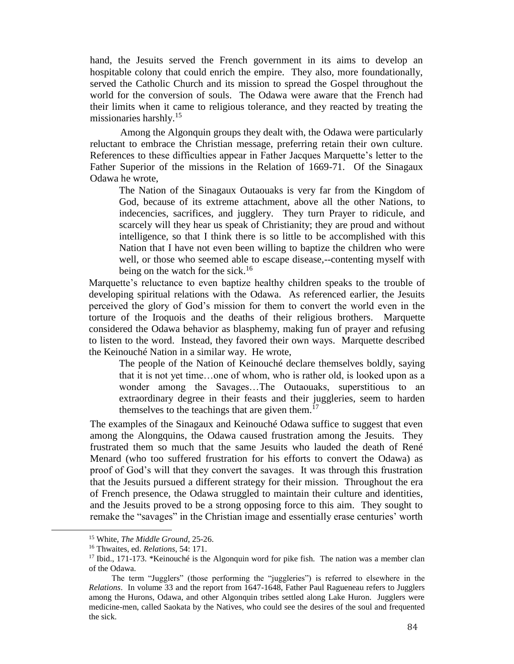hand, the Jesuits served the French government in its aims to develop an hospitable colony that could enrich the empire. They also, more foundationally, served the Catholic Church and its mission to spread the Gospel throughout the world for the conversion of souls. The Odawa were aware that the French had their limits when it came to religious tolerance, and they reacted by treating the missionaries harshly. $15$ 

Among the Algonquin groups they dealt with, the Odawa were particularly reluctant to embrace the Christian message, preferring retain their own culture. References to these difficulties appear in Father Jacques Marquette's letter to the Father Superior of the missions in the Relation of 1669-71. Of the Sinagaux Odawa he wrote,

The Nation of the Sinagaux Outaouaks is very far from the Kingdom of God, because of its extreme attachment, above all the other Nations, to indecencies, sacrifices, and jugglery. They turn Prayer to ridicule, and scarcely will they hear us speak of Christianity; they are proud and without intelligence, so that I think there is so little to be accomplished with this Nation that I have not even been willing to baptize the children who were well, or those who seemed able to escape disease,--contenting myself with being on the watch for the sick.<sup>16</sup>

Marquette's reluctance to even baptize healthy children speaks to the trouble of developing spiritual relations with the Odawa. As referenced earlier, the Jesuits perceived the glory of God's mission for them to convert the world even in the torture of the Iroquois and the deaths of their religious brothers. Marquette considered the Odawa behavior as blasphemy, making fun of prayer and refusing to listen to the word. Instead, they favored their own ways. Marquette described the Keinouché Nation in a similar way. He wrote,

The people of the Nation of Keinouché declare themselves boldly, saying that it is not yet time…one of whom, who is rather old, is looked upon as a wonder among the Savages…The Outaouaks, superstitious to an extraordinary degree in their feasts and their juggleries, seem to harden themselves to the teachings that are given them. $17$ 

The examples of the Sinagaux and Keinouché Odawa suffice to suggest that even among the Alongquins, the Odawa caused frustration among the Jesuits. They frustrated them so much that the same Jesuits who lauded the death of René Menard (who too suffered frustration for his efforts to convert the Odawa) as proof of God's will that they convert the savages. It was through this frustration that the Jesuits pursued a different strategy for their mission. Throughout the era of French presence, the Odawa struggled to maintain their culture and identities, and the Jesuits proved to be a strong opposing force to this aim. They sought to remake the "savages" in the Christian image and essentially erase centuries' worth

<sup>15</sup> White, *The Middle Ground*, 25-26.

<sup>16</sup> Thwaites, ed. *Relations,* 54: 171.

 $17$  Ibid., 171-173. \*Keinouché is the Algonquin word for pike fish. The nation was a member clan of the Odawa.

The term "Jugglers" (those performing the "juggleries") is referred to elsewhere in the *Relations*. In volume 33 and the report from 1647-1648, Father Paul Ragueneau refers to Jugglers among the Hurons, Odawa, and other Algonquin tribes settled along Lake Huron. Jugglers were medicine-men, called Saokata by the Natives, who could see the desires of the soul and frequented the sick.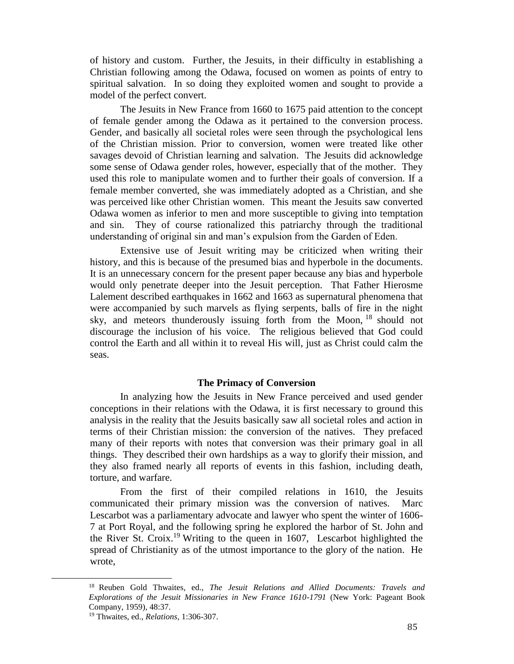of history and custom. Further, the Jesuits, in their difficulty in establishing a Christian following among the Odawa, focused on women as points of entry to spiritual salvation. In so doing they exploited women and sought to provide a model of the perfect convert.

The Jesuits in New France from 1660 to 1675 paid attention to the concept of female gender among the Odawa as it pertained to the conversion process. Gender, and basically all societal roles were seen through the psychological lens of the Christian mission. Prior to conversion, women were treated like other savages devoid of Christian learning and salvation. The Jesuits did acknowledge some sense of Odawa gender roles, however, especially that of the mother. They used this role to manipulate women and to further their goals of conversion. If a female member converted, she was immediately adopted as a Christian, and she was perceived like other Christian women. This meant the Jesuits saw converted Odawa women as inferior to men and more susceptible to giving into temptation and sin. They of course rationalized this patriarchy through the traditional understanding of original sin and man's expulsion from the Garden of Eden.

Extensive use of Jesuit writing may be criticized when writing their history, and this is because of the presumed bias and hyperbole in the documents. It is an unnecessary concern for the present paper because any bias and hyperbole would only penetrate deeper into the Jesuit perception. That Father Hierosme Lalement described earthquakes in 1662 and 1663 as supernatural phenomena that were accompanied by such marvels as flying serpents, balls of fire in the night sky, and meteors thunderously issuing forth from the Moon, <sup>18</sup> should not discourage the inclusion of his voice. The religious believed that God could control the Earth and all within it to reveal His will, just as Christ could calm the seas.

#### **The Primacy of Conversion**

In analyzing how the Jesuits in New France perceived and used gender conceptions in their relations with the Odawa, it is first necessary to ground this analysis in the reality that the Jesuits basically saw all societal roles and action in terms of their Christian mission: the conversion of the natives. They prefaced many of their reports with notes that conversion was their primary goal in all things. They described their own hardships as a way to glorify their mission, and they also framed nearly all reports of events in this fashion, including death, torture, and warfare.

From the first of their compiled relations in 1610, the Jesuits communicated their primary mission was the conversion of natives. Marc Lescarbot was a parliamentary advocate and lawyer who spent the winter of 1606- 7 at Port Royal, and the following spring he explored the harbor of St. John and the River St. Croix.<sup>19</sup> Writing to the queen in 1607, Lescarbot highlighted the spread of Christianity as of the utmost importance to the glory of the nation. He wrote,

<sup>18</sup> Reuben Gold Thwaites, ed., *The Jesuit Relations and Allied Documents: Travels and Explorations of the Jesuit Missionaries in New France 1610-1791* (New York: Pageant Book Company, 1959), 48:37.

<sup>19</sup> Thwaites, ed., *Relations*, 1:306-307.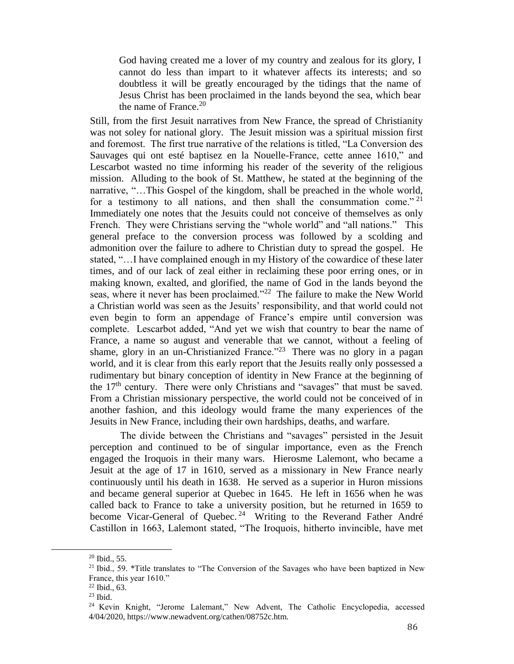God having created me a lover of my country and zealous for its glory, I cannot do less than impart to it whatever affects its interests; and so doubtless it will be greatly encouraged by the tidings that the name of Jesus Christ has been proclaimed in the lands beyond the sea, which bear the name of France.<sup>20</sup>

Still, from the first Jesuit narratives from New France, the spread of Christianity was not soley for national glory. The Jesuit mission was a spiritual mission first and foremost. The first true narrative of the relations is titled, "La Conversion des Sauvages qui ont esté baptisez en la Nouelle-France, cette annee 1610," and Lescarbot wasted no time informing his reader of the severity of the religious mission. Alluding to the book of St. Matthew, he stated at the beginning of the narrative, "…This Gospel of the kingdom, shall be preached in the whole world, for a testimony to all nations, and then shall the consummation come."  $21$ Immediately one notes that the Jesuits could not conceive of themselves as only French. They were Christians serving the "whole world" and "all nations." This general preface to the conversion process was followed by a scolding and admonition over the failure to adhere to Christian duty to spread the gospel. He stated, "…I have complained enough in my History of the cowardice of these later times, and of our lack of zeal either in reclaiming these poor erring ones, or in making known, exalted, and glorified, the name of God in the lands beyond the seas, where it never has been proclaimed."<sup>22</sup> The failure to make the New World a Christian world was seen as the Jesuits' responsibility, and that world could not even begin to form an appendage of France's empire until conversion was complete. Lescarbot added, "And yet we wish that country to bear the name of France, a name so august and venerable that we cannot, without a feeling of shame, glory in an un-Christianized France."<sup>23</sup> There was no glory in a pagan world, and it is clear from this early report that the Jesuits really only possessed a rudimentary but binary conception of identity in New France at the beginning of the 17<sup>th</sup> century. There were only Christians and "savages" that must be saved. From a Christian missionary perspective, the world could not be conceived of in another fashion, and this ideology would frame the many experiences of the Jesuits in New France, including their own hardships, deaths, and warfare.

The divide between the Christians and "savages" persisted in the Jesuit perception and continued to be of singular importance, even as the French engaged the Iroquois in their many wars. Hierosme Lalemont, who became a Jesuit at the age of 17 in 1610, served as a missionary in New France nearly continuously until his death in 1638. He served as a superior in Huron missions and became general superior at Quebec in 1645. He left in 1656 when he was called back to France to take a university position, but he returned in 1659 to become Vicar-General of Quebec.<sup>24</sup> Writing to the Reverand Father André Castillon in 1663, Lalemont stated, "The Iroquois, hitherto invincible, have met

 $20$  Ibid., 55.

 $21$  Ibid., 59. \*Title translates to "The Conversion of the Savages who have been baptized in New France, this year 1610."

<sup>22</sup> Ibid., 63.

<sup>23</sup> Ibid.

<sup>24</sup> Kevin Knight, "Jerome Lalemant," New Advent, The Catholic Encyclopedia, accessed 4/04/2020, https://www.newadvent.org/cathen/08752c.htm.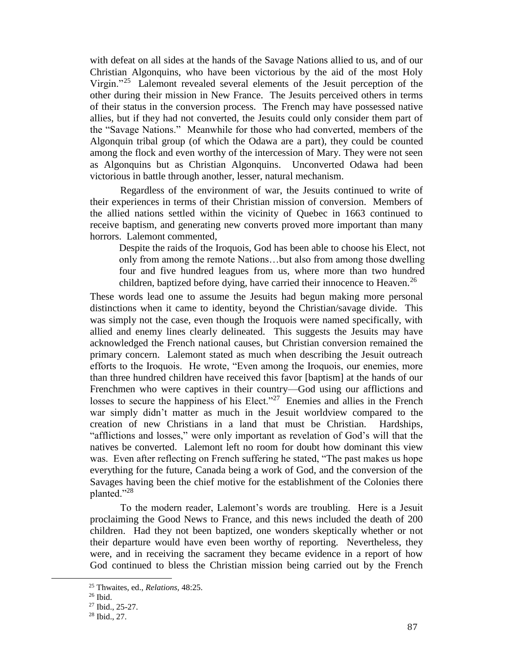with defeat on all sides at the hands of the Savage Nations allied to us, and of our Christian Algonquins, who have been victorious by the aid of the most Holy Virgin."<sup>25</sup> Lalemont revealed several elements of the Jesuit perception of the other during their mission in New France. The Jesuits perceived others in terms of their status in the conversion process. The French may have possessed native allies, but if they had not converted, the Jesuits could only consider them part of the "Savage Nations." Meanwhile for those who had converted, members of the Algonquin tribal group (of which the Odawa are a part), they could be counted among the flock and even worthy of the intercession of Mary. They were not seen as Algonquins but as Christian Algonquins. Unconverted Odawa had been victorious in battle through another, lesser, natural mechanism.

Regardless of the environment of war, the Jesuits continued to write of their experiences in terms of their Christian mission of conversion. Members of the allied nations settled within the vicinity of Quebec in 1663 continued to receive baptism, and generating new converts proved more important than many horrors. Lalemont commented,

Despite the raids of the Iroquois, God has been able to choose his Elect, not only from among the remote Nations…but also from among those dwelling four and five hundred leagues from us, where more than two hundred children, baptized before dying, have carried their innocence to Heaven.<sup>26</sup>

These words lead one to assume the Jesuits had begun making more personal distinctions when it came to identity, beyond the Christian/savage divide. This was simply not the case, even though the Iroquois were named specifically, with allied and enemy lines clearly delineated. This suggests the Jesuits may have acknowledged the French national causes, but Christian conversion remained the primary concern. Lalemont stated as much when describing the Jesuit outreach efforts to the Iroquois. He wrote, "Even among the Iroquois, our enemies, more than three hundred children have received this favor [baptism] at the hands of our Frenchmen who were captives in their country—God using our afflictions and losses to secure the happiness of his Elect."<sup>27</sup> Enemies and allies in the French war simply didn't matter as much in the Jesuit worldview compared to the creation of new Christians in a land that must be Christian. Hardships, "afflictions and losses," were only important as revelation of God's will that the natives be converted. Lalemont left no room for doubt how dominant this view was. Even after reflecting on French suffering he stated, "The past makes us hope everything for the future, Canada being a work of God, and the conversion of the Savages having been the chief motive for the establishment of the Colonies there planted."<sup>28</sup>

To the modern reader, Lalemont's words are troubling. Here is a Jesuit proclaiming the Good News to France, and this news included the death of 200 children. Had they not been baptized, one wonders skeptically whether or not their departure would have even been worthy of reporting. Nevertheless, they were, and in receiving the sacrament they became evidence in a report of how God continued to bless the Christian mission being carried out by the French

<sup>25</sup> Thwaites, ed., *Relations,* 48:25.

 $26$  Ibid.

<sup>27</sup> Ibid., 25-27.

<sup>28</sup> Ibid., 27.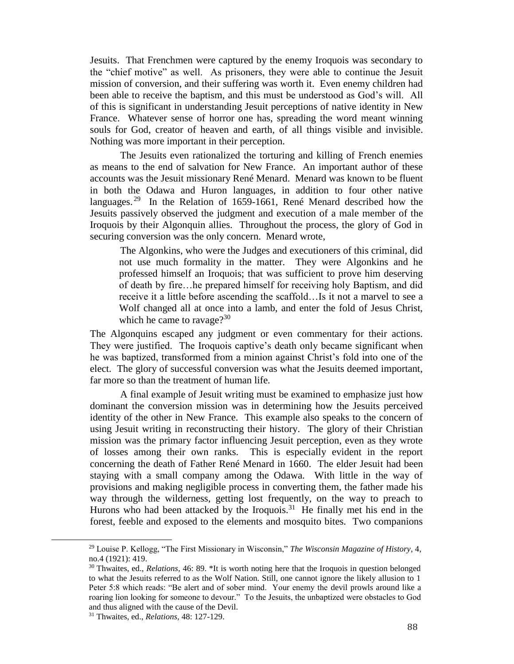Jesuits. That Frenchmen were captured by the enemy Iroquois was secondary to the "chief motive" as well. As prisoners, they were able to continue the Jesuit mission of conversion, and their suffering was worth it. Even enemy children had been able to receive the baptism, and this must be understood as God's will. All of this is significant in understanding Jesuit perceptions of native identity in New France. Whatever sense of horror one has, spreading the word meant winning souls for God, creator of heaven and earth, of all things visible and invisible. Nothing was more important in their perception.

The Jesuits even rationalized the torturing and killing of French enemies as means to the end of salvation for New France. An important author of these accounts was the Jesuit missionary René Menard. Menard was known to be fluent in both the Odawa and Huron languages, in addition to four other native languages.<sup>29</sup> In the Relation of 1659-1661, René Menard described how the Jesuits passively observed the judgment and execution of a male member of the Iroquois by their Algonquin allies. Throughout the process, the glory of God in securing conversion was the only concern. Menard wrote,

The Algonkins, who were the Judges and executioners of this criminal, did not use much formality in the matter. They were Algonkins and he professed himself an Iroquois; that was sufficient to prove him deserving of death by fire…he prepared himself for receiving holy Baptism, and did receive it a little before ascending the scaffold…Is it not a marvel to see a Wolf changed all at once into a lamb, and enter the fold of Jesus Christ, which he came to ravage? $30<sup>30</sup>$ 

The Algonquins escaped any judgment or even commentary for their actions. They were justified. The Iroquois captive's death only became significant when he was baptized, transformed from a minion against Christ's fold into one of the elect. The glory of successful conversion was what the Jesuits deemed important, far more so than the treatment of human life.

A final example of Jesuit writing must be examined to emphasize just how dominant the conversion mission was in determining how the Jesuits perceived identity of the other in New France. This example also speaks to the concern of using Jesuit writing in reconstructing their history. The glory of their Christian mission was the primary factor influencing Jesuit perception, even as they wrote of losses among their own ranks. This is especially evident in the report concerning the death of Father René Menard in 1660. The elder Jesuit had been staying with a small company among the Odawa. With little in the way of provisions and making negligible process in converting them, the father made his way through the wilderness, getting lost frequently, on the way to preach to Hurons who had been attacked by the Iroquois.<sup>31</sup> He finally met his end in the forest, feeble and exposed to the elements and mosquito bites. Two companions

<sup>29</sup> Louise P. Kellogg, "The First Missionary in Wisconsin," *The Wisconsin Magazine of History*, 4, no.4 (1921): 419.

<sup>30</sup> Thwaites, ed., *Relations,* 46: 89. \*It is worth noting here that the Iroquois in question belonged to what the Jesuits referred to as the Wolf Nation. Still, one cannot ignore the likely allusion to 1 Peter 5:8 which reads: "Be alert and of sober mind. Your enemy the devil prowls around like a roaring lion looking for someone to devour." To the Jesuits, the unbaptized were obstacles to God and thus aligned with the cause of the Devil.

<sup>31</sup> Thwaites, ed., *Relations,* 48: 127-129.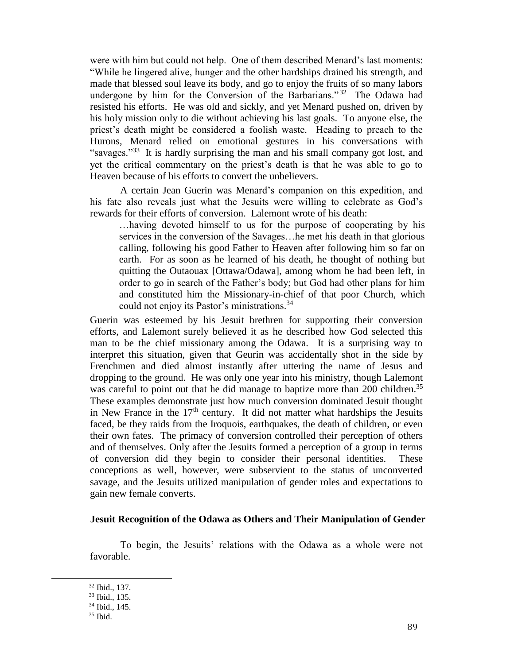were with him but could not help. One of them described Menard's last moments: "While he lingered alive, hunger and the other hardships drained his strength, and made that blessed soul leave its body, and go to enjoy the fruits of so many labors undergone by him for the Conversion of the Barbarians."<sup>32</sup> The Odawa had resisted his efforts. He was old and sickly, and yet Menard pushed on, driven by his holy mission only to die without achieving his last goals. To anyone else, the priest's death might be considered a foolish waste. Heading to preach to the Hurons, Menard relied on emotional gestures in his conversations with "savages."<sup>33</sup> It is hardly surprising the man and his small company got lost, and yet the critical commentary on the priest's death is that he was able to go to Heaven because of his efforts to convert the unbelievers.

A certain Jean Guerin was Menard's companion on this expedition, and his fate also reveals just what the Jesuits were willing to celebrate as God's rewards for their efforts of conversion. Lalemont wrote of his death:

…having devoted himself to us for the purpose of cooperating by his services in the conversion of the Savages…he met his death in that glorious calling, following his good Father to Heaven after following him so far on earth. For as soon as he learned of his death, he thought of nothing but quitting the Outaouax [Ottawa/Odawa], among whom he had been left, in order to go in search of the Father's body; but God had other plans for him and constituted him the Missionary-in-chief of that poor Church, which could not enjoy its Pastor's ministrations.<sup>34</sup>

Guerin was esteemed by his Jesuit brethren for supporting their conversion efforts, and Lalemont surely believed it as he described how God selected this man to be the chief missionary among the Odawa. It is a surprising way to interpret this situation, given that Geurin was accidentally shot in the side by Frenchmen and died almost instantly after uttering the name of Jesus and dropping to the ground. He was only one year into his ministry, though Lalemont was careful to point out that he did manage to baptize more than 200 children.<sup>35</sup> These examples demonstrate just how much conversion dominated Jesuit thought in New France in the  $17<sup>th</sup>$  century. It did not matter what hardships the Jesuits faced, be they raids from the Iroquois, earthquakes, the death of children, or even their own fates. The primacy of conversion controlled their perception of others and of themselves. Only after the Jesuits formed a perception of a group in terms of conversion did they begin to consider their personal identities. These conceptions as well, however, were subservient to the status of unconverted savage, and the Jesuits utilized manipulation of gender roles and expectations to gain new female converts.

#### **Jesuit Recognition of the Odawa as Others and Their Manipulation of Gender**

To begin, the Jesuits' relations with the Odawa as a whole were not favorable.

<sup>32</sup> Ibid., 137.

<sup>33</sup> Ibid., 135.

<sup>34</sup> Ibid., 145.

<sup>35</sup> Ibid.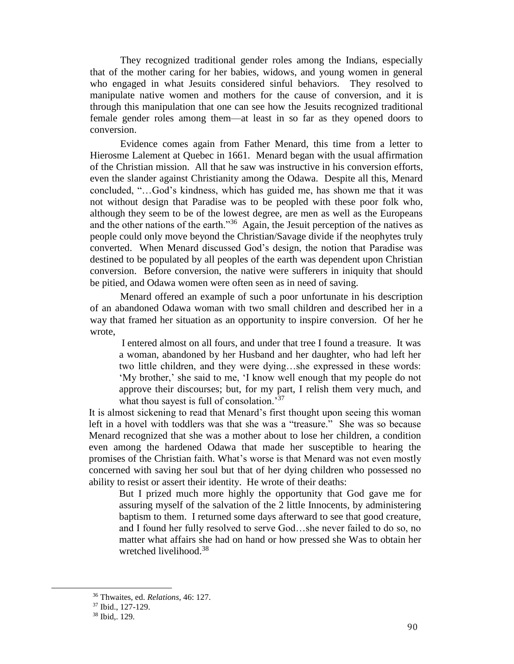They recognized traditional gender roles among the Indians, especially that of the mother caring for her babies, widows, and young women in general who engaged in what Jesuits considered sinful behaviors. They resolved to manipulate native women and mothers for the cause of conversion, and it is through this manipulation that one can see how the Jesuits recognized traditional female gender roles among them—at least in so far as they opened doors to conversion.

Evidence comes again from Father Menard, this time from a letter to Hierosme Lalement at Quebec in 1661. Menard began with the usual affirmation of the Christian mission. All that he saw was instructive in his conversion efforts, even the slander against Christianity among the Odawa. Despite all this, Menard concluded, "…God's kindness, which has guided me, has shown me that it was not without design that Paradise was to be peopled with these poor folk who, although they seem to be of the lowest degree, are men as well as the Europeans and the other nations of the earth."<sup>36</sup> Again, the Jesuit perception of the natives as people could only move beyond the Christian/Savage divide if the neophytes truly converted. When Menard discussed God's design, the notion that Paradise was destined to be populated by all peoples of the earth was dependent upon Christian conversion. Before conversion, the native were sufferers in iniquity that should be pitied, and Odawa women were often seen as in need of saving.

Menard offered an example of such a poor unfortunate in his description of an abandoned Odawa woman with two small children and described her in a way that framed her situation as an opportunity to inspire conversion. Of her he wrote,

I entered almost on all fours, and under that tree I found a treasure. It was a woman, abandoned by her Husband and her daughter, who had left her two little children, and they were dying…she expressed in these words: 'My brother,' she said to me, 'I know well enough that my people do not approve their discourses; but, for my part, I relish them very much, and what thou sayest is full of consolation.<sup>37</sup>

It is almost sickening to read that Menard's first thought upon seeing this woman left in a hovel with toddlers was that she was a "treasure." She was so because Menard recognized that she was a mother about to lose her children, a condition even among the hardened Odawa that made her susceptible to hearing the promises of the Christian faith. What's worse is that Menard was not even mostly concerned with saving her soul but that of her dying children who possessed no ability to resist or assert their identity. He wrote of their deaths:

But I prized much more highly the opportunity that God gave me for assuring myself of the salvation of the 2 little Innocents, by administering baptism to them. I returned some days afterward to see that good creature, and I found her fully resolved to serve God…she never failed to do so, no matter what affairs she had on hand or how pressed she Was to obtain her wretched livelihood.<sup>38</sup>

<sup>36</sup> Thwaites, ed. *Relations,* 46: 127.

<sup>37</sup> Ibid., 127-129.

<sup>38</sup> Ibid,. 129.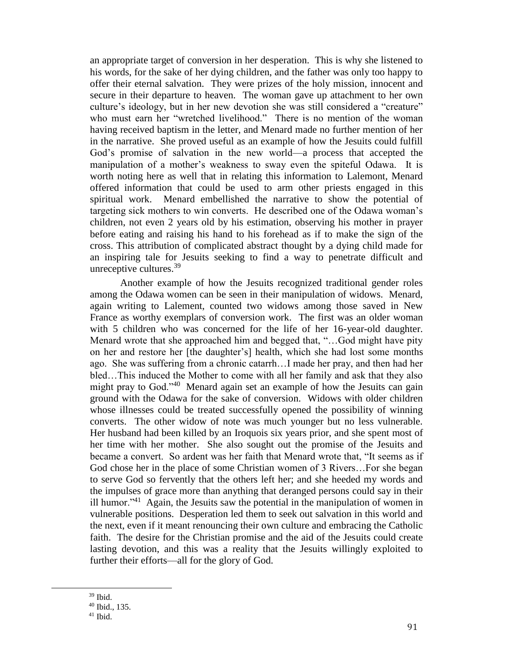an appropriate target of conversion in her desperation. This is why she listened to his words, for the sake of her dying children, and the father was only too happy to offer their eternal salvation. They were prizes of the holy mission, innocent and secure in their departure to heaven. The woman gave up attachment to her own culture's ideology, but in her new devotion she was still considered a "creature" who must earn her "wretched livelihood." There is no mention of the woman having received baptism in the letter, and Menard made no further mention of her in the narrative. She proved useful as an example of how the Jesuits could fulfill God's promise of salvation in the new world—a process that accepted the manipulation of a mother's weakness to sway even the spiteful Odawa. It is worth noting here as well that in relating this information to Lalemont, Menard offered information that could be used to arm other priests engaged in this spiritual work. Menard embellished the narrative to show the potential of targeting sick mothers to win converts. He described one of the Odawa woman's children, not even 2 years old by his estimation, observing his mother in prayer before eating and raising his hand to his forehead as if to make the sign of the cross. This attribution of complicated abstract thought by a dying child made for an inspiring tale for Jesuits seeking to find a way to penetrate difficult and unreceptive cultures.<sup>39</sup>

Another example of how the Jesuits recognized traditional gender roles among the Odawa women can be seen in their manipulation of widows. Menard, again writing to Lalement, counted two widows among those saved in New France as worthy exemplars of conversion work. The first was an older woman with 5 children who was concerned for the life of her 16-year-old daughter. Menard wrote that she approached him and begged that, "…God might have pity on her and restore her [the daughter's] health, which she had lost some months ago. She was suffering from a chronic catarrh…I made her pray, and then had her bled…This induced the Mother to come with all her family and ask that they also might pray to God."<sup>40</sup> Menard again set an example of how the Jesuits can gain ground with the Odawa for the sake of conversion. Widows with older children whose illnesses could be treated successfully opened the possibility of winning converts. The other widow of note was much younger but no less vulnerable. Her husband had been killed by an Iroquois six years prior, and she spent most of her time with her mother. She also sought out the promise of the Jesuits and became a convert. So ardent was her faith that Menard wrote that, "It seems as if God chose her in the place of some Christian women of 3 Rivers…For she began to serve God so fervently that the others left her; and she heeded my words and the impulses of grace more than anything that deranged persons could say in their ill humor."<sup>41</sup> Again, the Jesuits saw the potential in the manipulation of women in vulnerable positions. Desperation led them to seek out salvation in this world and the next, even if it meant renouncing their own culture and embracing the Catholic faith. The desire for the Christian promise and the aid of the Jesuits could create lasting devotion, and this was a reality that the Jesuits willingly exploited to further their efforts—all for the glory of God.

<sup>39</sup> Ibid.

<sup>40</sup> Ibid., 135.

 $41$  Ibid.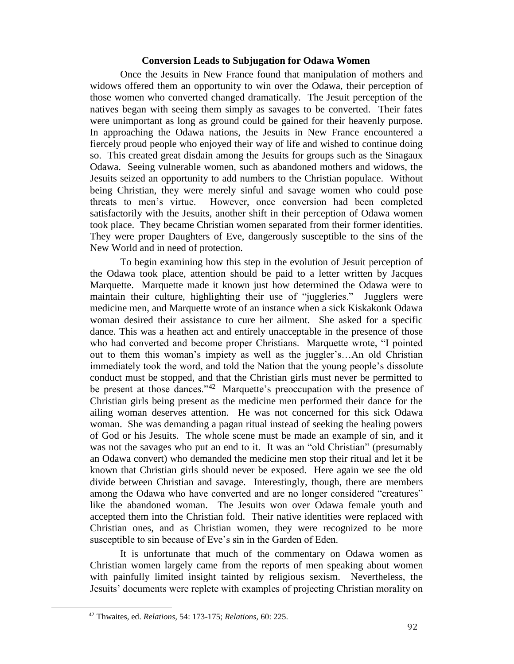#### **Conversion Leads to Subjugation for Odawa Women**

Once the Jesuits in New France found that manipulation of mothers and widows offered them an opportunity to win over the Odawa, their perception of those women who converted changed dramatically. The Jesuit perception of the natives began with seeing them simply as savages to be converted. Their fates were unimportant as long as ground could be gained for their heavenly purpose. In approaching the Odawa nations, the Jesuits in New France encountered a fiercely proud people who enjoyed their way of life and wished to continue doing so. This created great disdain among the Jesuits for groups such as the Sinagaux Odawa. Seeing vulnerable women, such as abandoned mothers and widows, the Jesuits seized an opportunity to add numbers to the Christian populace. Without being Christian, they were merely sinful and savage women who could pose threats to men's virtue. However, once conversion had been completed satisfactorily with the Jesuits, another shift in their perception of Odawa women took place. They became Christian women separated from their former identities. They were proper Daughters of Eve, dangerously susceptible to the sins of the New World and in need of protection.

To begin examining how this step in the evolution of Jesuit perception of the Odawa took place, attention should be paid to a letter written by Jacques Marquette. Marquette made it known just how determined the Odawa were to maintain their culture, highlighting their use of "juggleries." Jugglers were medicine men, and Marquette wrote of an instance when a sick Kiskakonk Odawa woman desired their assistance to cure her ailment. She asked for a specific dance. This was a heathen act and entirely unacceptable in the presence of those who had converted and become proper Christians. Marquette wrote, "I pointed out to them this woman's impiety as well as the juggler's…An old Christian immediately took the word, and told the Nation that the young people's dissolute conduct must be stopped, and that the Christian girls must never be permitted to be present at those dances."<sup>42</sup> Marquette's preoccupation with the presence of Christian girls being present as the medicine men performed their dance for the ailing woman deserves attention. He was not concerned for this sick Odawa woman. She was demanding a pagan ritual instead of seeking the healing powers of God or his Jesuits. The whole scene must be made an example of sin, and it was not the savages who put an end to it. It was an "old Christian" (presumably an Odawa convert) who demanded the medicine men stop their ritual and let it be known that Christian girls should never be exposed. Here again we see the old divide between Christian and savage. Interestingly, though, there are members among the Odawa who have converted and are no longer considered "creatures" like the abandoned woman. The Jesuits won over Odawa female youth and accepted them into the Christian fold. Their native identities were replaced with Christian ones, and as Christian women, they were recognized to be more susceptible to sin because of Eve's sin in the Garden of Eden.

It is unfortunate that much of the commentary on Odawa women as Christian women largely came from the reports of men speaking about women with painfully limited insight tainted by religious sexism. Nevertheless, the Jesuits' documents were replete with examples of projecting Christian morality on

<sup>42</sup> Thwaites, ed. *Relations,* 54: 173-175; *Relations,* 60: 225.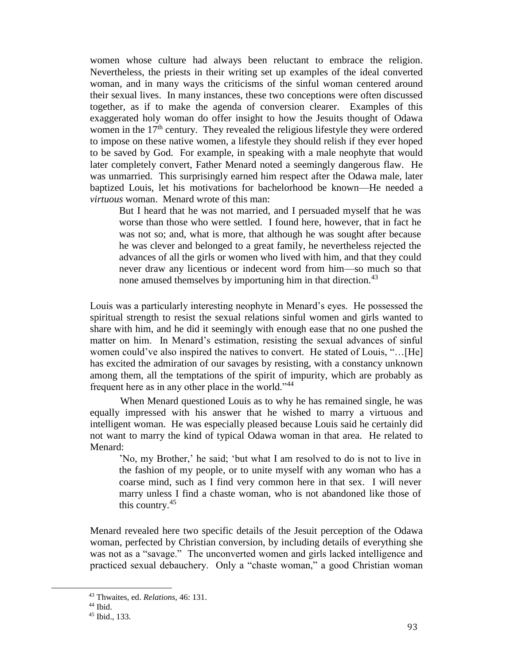women whose culture had always been reluctant to embrace the religion. Nevertheless, the priests in their writing set up examples of the ideal converted woman, and in many ways the criticisms of the sinful woman centered around their sexual lives. In many instances, these two conceptions were often discussed together, as if to make the agenda of conversion clearer. Examples of this exaggerated holy woman do offer insight to how the Jesuits thought of Odawa women in the  $17<sup>th</sup>$  century. They revealed the religious lifestyle they were ordered to impose on these native women, a lifestyle they should relish if they ever hoped to be saved by God. For example, in speaking with a male neophyte that would later completely convert, Father Menard noted a seemingly dangerous flaw. He was unmarried. This surprisingly earned him respect after the Odawa male, later baptized Louis, let his motivations for bachelorhood be known—He needed a *virtuous* woman. Menard wrote of this man:

But I heard that he was not married, and I persuaded myself that he was worse than those who were settled. I found here, however, that in fact he was not so; and, what is more, that although he was sought after because he was clever and belonged to a great family, he nevertheless rejected the advances of all the girls or women who lived with him, and that they could never draw any licentious or indecent word from him—so much so that none amused themselves by importuning him in that direction.<sup>43</sup>

Louis was a particularly interesting neophyte in Menard's eyes. He possessed the spiritual strength to resist the sexual relations sinful women and girls wanted to share with him, and he did it seemingly with enough ease that no one pushed the matter on him. In Menard's estimation, resisting the sexual advances of sinful women could've also inspired the natives to convert. He stated of Louis, "…[He] has excited the admiration of our savages by resisting, with a constancy unknown among them, all the temptations of the spirit of impurity, which are probably as frequent here as in any other place in the world."<sup>44</sup>

When Menard questioned Louis as to why he has remained single, he was equally impressed with his answer that he wished to marry a virtuous and intelligent woman. He was especially pleased because Louis said he certainly did not want to marry the kind of typical Odawa woman in that area. He related to Menard:

'No, my Brother,' he said; 'but what I am resolved to do is not to live in the fashion of my people, or to unite myself with any woman who has a coarse mind, such as I find very common here in that sex. I will never marry unless I find a chaste woman, who is not abandoned like those of this country.<sup>45</sup>

Menard revealed here two specific details of the Jesuit perception of the Odawa woman, perfected by Christian conversion, by including details of everything she was not as a "savage." The unconverted women and girls lacked intelligence and practiced sexual debauchery. Only a "chaste woman," a good Christian woman

<sup>43</sup> Thwaites, ed. *Relations,* 46: 131.

 $44$  Ibid.

<sup>45</sup> Ibid., 133.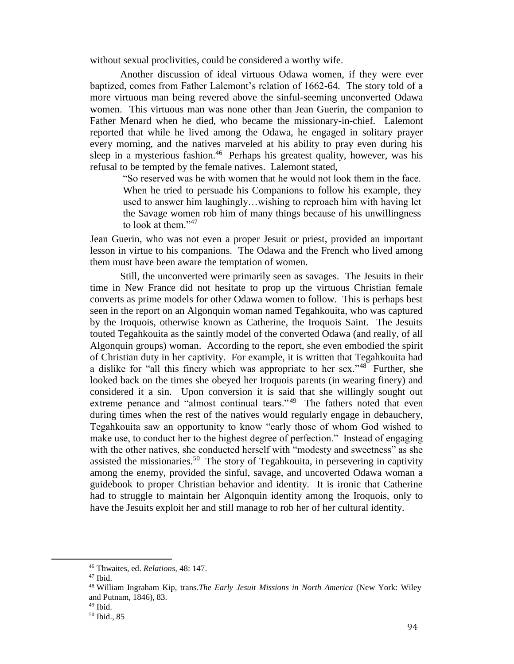without sexual proclivities, could be considered a worthy wife.

Another discussion of ideal virtuous Odawa women, if they were ever baptized, comes from Father Lalemont's relation of 1662-64. The story told of a more virtuous man being revered above the sinful-seeming unconverted Odawa women. This virtuous man was none other than Jean Guerin, the companion to Father Menard when he died, who became the missionary-in-chief. Lalemont reported that while he lived among the Odawa, he engaged in solitary prayer every morning, and the natives marveled at his ability to pray even during his sleep in a mysterious fashion.<sup>46</sup> Perhaps his greatest quality, however, was his refusal to be tempted by the female natives. Lalemont stated,

> "So reserved was he with women that he would not look them in the face. When he tried to persuade his Companions to follow his example, they used to answer him laughingly…wishing to reproach him with having let the Savage women rob him of many things because of his unwillingness to look at them."<sup>47</sup>

Jean Guerin, who was not even a proper Jesuit or priest, provided an important lesson in virtue to his companions. The Odawa and the French who lived among them must have been aware the temptation of women.

Still, the unconverted were primarily seen as savages. The Jesuits in their time in New France did not hesitate to prop up the virtuous Christian female converts as prime models for other Odawa women to follow. This is perhaps best seen in the report on an Algonquin woman named Tegahkouita, who was captured by the Iroquois, otherwise known as Catherine, the Iroquois Saint. The Jesuits touted Tegahkouita as the saintly model of the converted Odawa (and really, of all Algonquin groups) woman. According to the report, she even embodied the spirit of Christian duty in her captivity. For example, it is written that Tegahkouita had a dislike for "all this finery which was appropriate to her sex."<sup>48</sup> Further, she looked back on the times she obeyed her Iroquois parents (in wearing finery) and considered it a sin. Upon conversion it is said that she willingly sought out extreme penance and "almost continual tears."<sup>49</sup> The fathers noted that even during times when the rest of the natives would regularly engage in debauchery, Tegahkouita saw an opportunity to know "early those of whom God wished to make use, to conduct her to the highest degree of perfection." Instead of engaging with the other natives, she conducted herself with "modesty and sweetness" as she assisted the missionaries.<sup>50</sup> The story of Tegahkouita, in persevering in captivity among the enemy, provided the sinful, savage, and uncoverted Odawa woman a guidebook to proper Christian behavior and identity. It is ironic that Catherine had to struggle to maintain her Algonquin identity among the Iroquois, only to have the Jesuits exploit her and still manage to rob her of her cultural identity.

<sup>46</sup> Thwaites, ed. *Relations,* 48: 147.

<sup>47</sup> Ibid.

<sup>48</sup> William Ingraham Kip, trans.*The Early Jesuit Missions in North America* (New York: Wiley and Putnam, 1846), 83.

 $49$  Ibid.

<sup>50</sup> Ibid., 85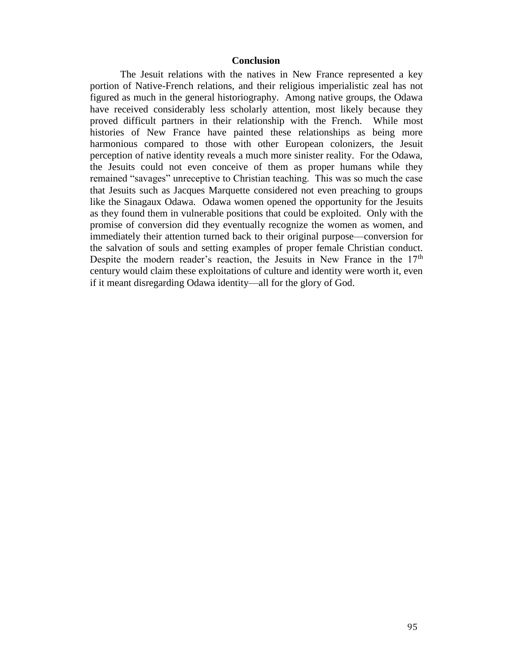#### **Conclusion**

The Jesuit relations with the natives in New France represented a key portion of Native-French relations, and their religious imperialistic zeal has not figured as much in the general historiography. Among native groups, the Odawa have received considerably less scholarly attention, most likely because they proved difficult partners in their relationship with the French. While most histories of New France have painted these relationships as being more harmonious compared to those with other European colonizers, the Jesuit perception of native identity reveals a much more sinister reality. For the Odawa, the Jesuits could not even conceive of them as proper humans while they remained "savages" unreceptive to Christian teaching. This was so much the case that Jesuits such as Jacques Marquette considered not even preaching to groups like the Sinagaux Odawa. Odawa women opened the opportunity for the Jesuits as they found them in vulnerable positions that could be exploited. Only with the promise of conversion did they eventually recognize the women as women, and immediately their attention turned back to their original purpose—conversion for the salvation of souls and setting examples of proper female Christian conduct. Despite the modern reader's reaction, the Jesuits in New France in the 17<sup>th</sup> century would claim these exploitations of culture and identity were worth it, even if it meant disregarding Odawa identity—all for the glory of God.